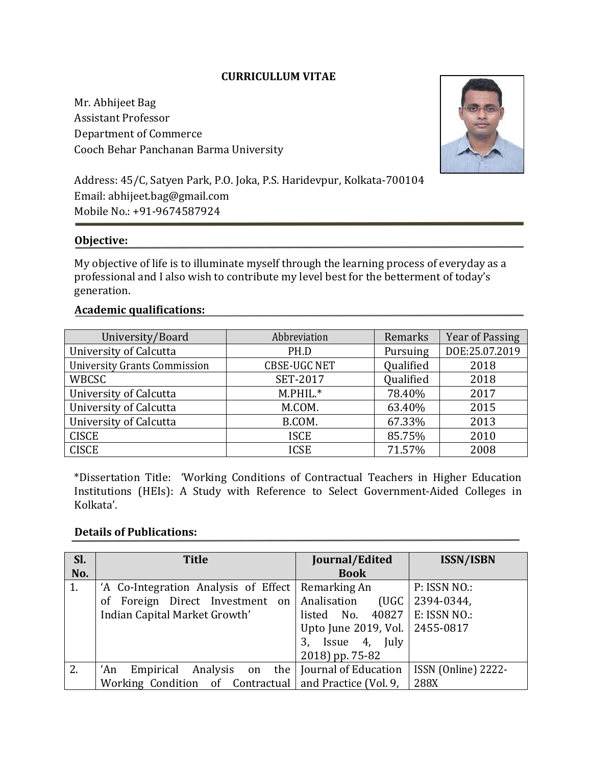# **CURRICULLUM VITAE**

Mr. Abhijeet Bag Assistant Professor Department of Commerce Cooch Behar Panchanan Barma University



Address: 45/C, Satyen Park, P.O. Joka, P.S. Haridevpur, Kolkata-700104 Email: abhijeet.bag@gmail.com Mobile No.: +91-9674587924

### **Objective:**

My objective of life is to illuminate myself through the learning process of everyday as a professional and I also wish to contribute my level best for the betterment of today's generation.

### **Academic qualifications:**

| University/Board                    | Abbreviation        | Remarks   | Year of Passing |
|-------------------------------------|---------------------|-----------|-----------------|
| University of Calcutta              | PH.D                | Pursuing  | DOE:25.07.2019  |
| <b>University Grants Commission</b> | <b>CBSE-UGC NET</b> | Qualified | 2018            |
| WBCSC                               | <b>SET-2017</b>     | Qualified | 2018            |
| University of Calcutta              | $M.PHIL.*$          | 78.40%    | 2017            |
| University of Calcutta              | M.COM.              | 63.40%    | 2015            |
| University of Calcutta              | B.COM.              | 67.33%    | 2013            |
| <b>CISCE</b>                        | <b>ISCE</b>         | 85.75%    | 2010            |
| <b>CISCE</b>                        | <b>ICSE</b>         | 71.57%    | 2008            |

\*Dissertation Title: 'Working Conditions of Contractual Teachers in Higher Education Institutions (HEIs): A Study with Reference to Select Government-Aided Colleges in Kolkata'.

### **Details of Publications:**

| SI. | <b>Title</b>                                           | Journal/Edited                       | <b>ISSN/ISBN</b>    |
|-----|--------------------------------------------------------|--------------------------------------|---------------------|
| No. |                                                        | <b>Book</b>                          |                     |
| 1.  | 'A Co-Integration Analysis of Effect   Remarking An    |                                      | P: ISSN NO.:        |
|     | of Foreign Direct Investment on Analisation            | (UGC)                                | 2394-0344,          |
|     | Indian Capital Market Growth'                          | listed No. $40827$                   | E: ISSN NO.:        |
|     |                                                        | Upto June 2019, Vol.   2455-0817     |                     |
|     |                                                        | 3, Issue 4, July                     |                     |
|     |                                                        | 2018) pp. 75-82                      |                     |
| 2.  | Empirical<br>'An                                       | Analysis on the Journal of Education | ISSN (Online) 2222- |
|     | Working Condition of Contractual and Practice (Vol. 9, |                                      | 288X                |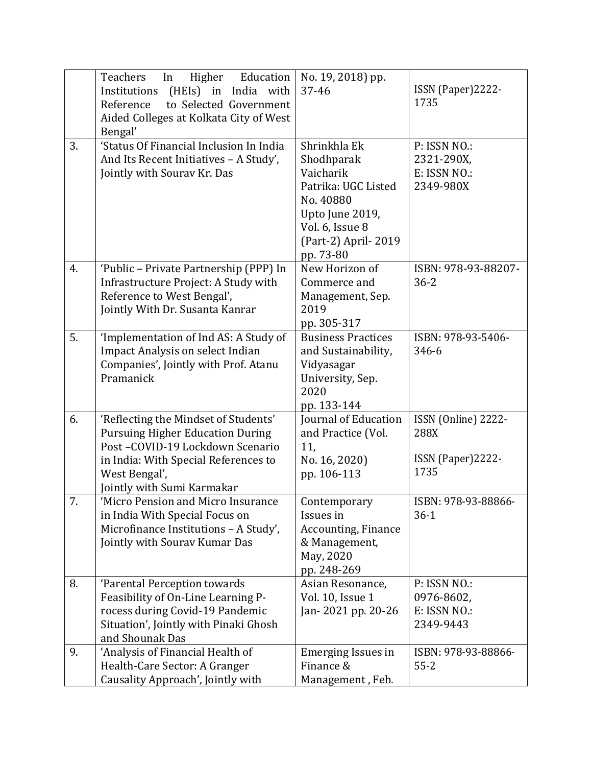|    | Teachers<br>Higher Education<br>In<br>(HEIs) in India with<br>Institutions<br>to Selected Government<br>Reference<br>Aided Colleges at Kolkata City of West<br>Bengal'                                    | No. 19, 2018) pp.<br>37-46                                                                                                                            | ISSN (Paper)2222-<br>1735                                 |
|----|-----------------------------------------------------------------------------------------------------------------------------------------------------------------------------------------------------------|-------------------------------------------------------------------------------------------------------------------------------------------------------|-----------------------------------------------------------|
| 3. | 'Status Of Financial Inclusion In India<br>And Its Recent Initiatives - A Study',<br>Jointly with Sourav Kr. Das                                                                                          | Shrinkhla Ek<br>Shodhparak<br>Vaicharik<br>Patrika: UGC Listed<br>No. 40880<br>Upto June 2019,<br>Vol. 6, Issue 8<br>(Part-2) April-2019<br>pp. 73-80 | P: ISSN NO.:<br>2321-290X,<br>E: ISSN NO.:<br>2349-980X   |
| 4. | 'Public - Private Partnership (PPP) In<br>Infrastructure Project: A Study with<br>Reference to West Bengal',<br>Jointly With Dr. Susanta Kanrar                                                           | New Horizon of<br>Commerce and<br>Management, Sep.<br>2019<br>pp. 305-317                                                                             | ISBN: 978-93-88207-<br>$36 - 2$                           |
| 5. | 'Implementation of Ind AS: A Study of<br><b>Impact Analysis on select Indian</b><br>Companies', Jointly with Prof. Atanu<br>Pramanick                                                                     | <b>Business Practices</b><br>and Sustainability,<br>Vidyasagar<br>University, Sep.<br>2020<br>pp. 133-144                                             | ISBN: 978-93-5406-<br>346-6                               |
| 6. | 'Reflecting the Mindset of Students'<br><b>Pursuing Higher Education During</b><br>Post-COVID-19 Lockdown Scenario<br>in India: With Special References to<br>West Bengal',<br>Jointly with Sumi Karmakar | Journal of Education<br>and Practice (Vol.<br>11,<br>No. 16, 2020)<br>pp. 106-113                                                                     | ISSN (Online) 2222-<br>288X<br>ISSN (Paper) 2222-<br>1735 |
| 7. | 'Micro Pension and Micro Insurance<br>in India With Special Focus on<br>Microfinance Institutions - A Study',<br>Jointly with Sourav Kumar Das                                                            | Contemporary<br>Issues in<br>Accounting, Finance<br>& Management,<br>May, 2020<br>pp. 248-269                                                         | ISBN: 978-93-88866-<br>$36-1$                             |
| 8. | 'Parental Perception towards<br>Feasibility of On-Line Learning P-<br>rocess during Covid-19 Pandemic<br>Situation', Jointly with Pinaki Ghosh<br>and Shounak Das                                         | Asian Resonance,<br>Vol. 10, Issue 1<br>Jan-2021 pp. 20-26                                                                                            | P: ISSN NO.:<br>0976-8602,<br>E: ISSN NO.:<br>2349-9443   |
| 9. | 'Analysis of Financial Health of<br>Health-Care Sector: A Granger<br>Causality Approach', Jointly with                                                                                                    | Emerging Issues in<br>Finance &<br>Management, Feb.                                                                                                   | ISBN: 978-93-88866-<br>$55 - 2$                           |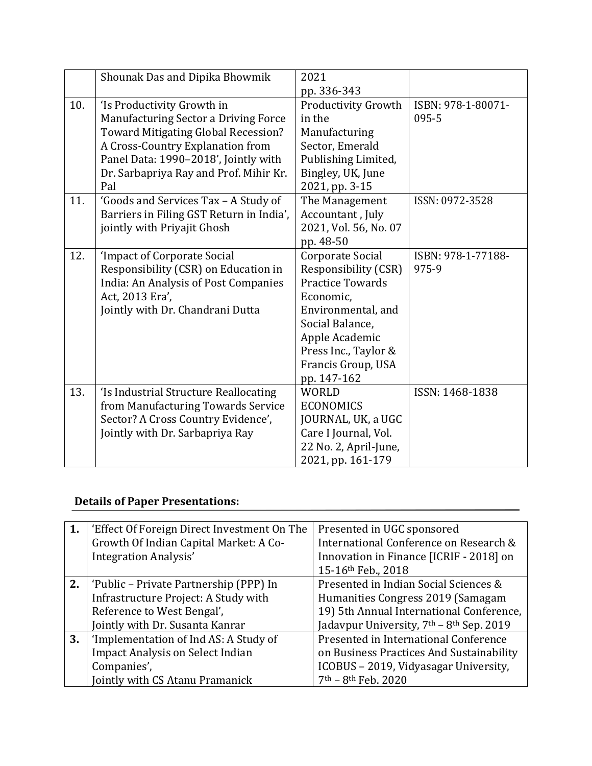|     | Shounak Das and Dipika Bhowmik             | 2021                    |                    |
|-----|--------------------------------------------|-------------------------|--------------------|
|     |                                            | pp. 336-343             |                    |
| 10. | 'Is Productivity Growth in                 | Productivity Growth     | ISBN: 978-1-80071- |
|     | Manufacturing Sector a Driving Force       | in the                  | 095-5              |
|     | <b>Toward Mitigating Global Recession?</b> | Manufacturing           |                    |
|     | A Cross-Country Explanation from           | Sector, Emerald         |                    |
|     | Panel Data: 1990-2018', Jointly with       | Publishing Limited,     |                    |
|     | Dr. Sarbapriya Ray and Prof. Mihir Kr.     | Bingley, UK, June       |                    |
|     | Pal                                        | 2021, pp. 3-15          |                    |
| 11. | 'Goods and Services Tax - A Study of       | The Management          | ISSN: 0972-3528    |
|     | Barriers in Filing GST Return in India',   | Accountant, July        |                    |
|     | jointly with Priyajit Ghosh                | 2021, Vol. 56, No. 07   |                    |
|     |                                            | pp. 48-50               |                    |
| 12. | 'Impact of Corporate Social                | Corporate Social        | ISBN: 978-1-77188- |
|     | Responsibility (CSR) on Education in       | Responsibility (CSR)    | 975-9              |
|     | India: An Analysis of Post Companies       | <b>Practice Towards</b> |                    |
|     | Act, 2013 Era',                            | Economic,               |                    |
|     | Jointly with Dr. Chandrani Dutta           | Environmental, and      |                    |
|     |                                            | Social Balance,         |                    |
|     |                                            | Apple Academic          |                    |
|     |                                            | Press Inc., Taylor &    |                    |
|     |                                            | Francis Group, USA      |                    |
|     |                                            | pp. 147-162             |                    |
| 13. | 'Is Industrial Structure Reallocating      | <b>WORLD</b>            | ISSN: 1468-1838    |
|     | from Manufacturing Towards Service         | <b>ECONOMICS</b>        |                    |
|     | Sector? A Cross Country Evidence',         | JOURNAL, UK, a UGC      |                    |
|     | Jointly with Dr. Sarbapriya Ray            | Care I Journal, Vol.    |                    |
|     |                                            | 22 No. 2, April-June,   |                    |
|     |                                            | 2021, pp. 161-179       |                    |

# **Details of Paper Presentations:**

| 1. | 'Effect Of Foreign Direct Investment On The | Presented in UGC sponsored                                       |
|----|---------------------------------------------|------------------------------------------------------------------|
|    | Growth Of Indian Capital Market: A Co-      | International Conference on Research &                           |
|    | Integration Analysis'                       | Innovation in Finance [ICRIF - 2018] on                          |
|    |                                             | 15-16th Feb., 2018                                               |
| 2. | 'Public – Private Partnership (PPP) In      | Presented in Indian Social Sciences &                            |
|    | Infrastructure Project: A Study with        | Humanities Congress 2019 (Samagam                                |
|    | Reference to West Bengal',                  | 19) 5th Annual International Conference,                         |
|    | Jointly with Dr. Susanta Kanrar             | Jadavpur University, 7 <sup>th</sup> - 8 <sup>th</sup> Sep. 2019 |
| 3. | 'Implementation of Ind AS: A Study of       | Presented in International Conference                            |
|    | <b>Impact Analysis on Select Indian</b>     | on Business Practices And Sustainability                         |
|    | Companies',                                 | ICOBUS - 2019, Vidyasagar University,                            |
|    | Jointly with CS Atanu Pramanick             | $7th - 8th$ Feb. 2020                                            |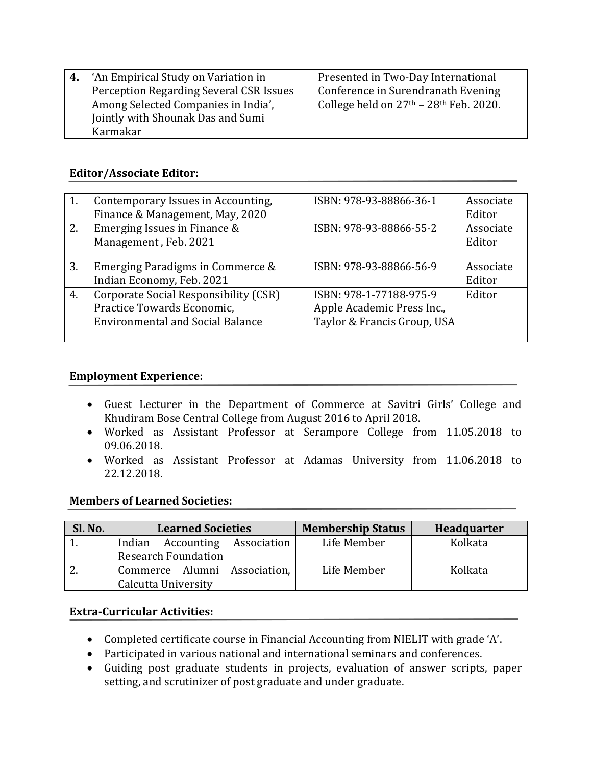| 'An Empirical Study on Variation in     | Presented in Two-Day International       |
|-----------------------------------------|------------------------------------------|
| Perception Regarding Several CSR Issues | Conference in Surendranath Evening       |
| Among Selected Companies in India',     | College held on $27th - 28th$ Feb. 2020. |
| Jointly with Shounak Das and Sumi       |                                          |
| Karmakar                                |                                          |

# **Editor/Associate Editor:**

|    | Contemporary Issues in Accounting,<br>Finance & Management, May, 2020                                          | ISBN: 978-93-88866-36-1                                                              | Associate<br>Editor |
|----|----------------------------------------------------------------------------------------------------------------|--------------------------------------------------------------------------------------|---------------------|
| 2. | Emerging Issues in Finance &<br>Management, Feb. 2021                                                          | ISBN: 978-93-88866-55-2                                                              | Associate<br>Editor |
| 3. | Emerging Paradigms in Commerce &<br>Indian Economy, Feb. 2021                                                  | ISBN: 978-93-88866-56-9                                                              | Associate<br>Editor |
| 4. | Corporate Social Responsibility (CSR)<br>Practice Towards Economic,<br><b>Environmental and Social Balance</b> | ISBN: 978-1-77188-975-9<br>Apple Academic Press Inc.,<br>Taylor & Francis Group, USA | Editor              |

## **Employment Experience:**

- Guest Lecturer in the Department of Commerce at Savitri Girls' College and Khudiram Bose Central College from August 2016 to April 2018.
- Worked as Assistant Professor at Serampore College from 11.05.2018 to 09.06.2018.
- Worked as Assistant Professor at Adamas University from 11.06.2018 to 22.12.2018.

## **Members of Learned Societies:**

| Sl. No. | <b>Learned Societies</b>                | <b>Membership Status</b> | <b>Headquarter</b> |
|---------|-----------------------------------------|--------------------------|--------------------|
|         | <b>Accounting Association</b><br>Indian | Life Member              | Kolkata            |
|         | <b>Research Foundation</b>              |                          |                    |
|         | Commerce Alumni Association,            | Life Member              | Kolkata            |
|         | Calcutta University                     |                          |                    |

## **Extra-Curricular Activities:**

- Completed certificate course in Financial Accounting from NIELIT with grade 'A'.
- Participated in various national and international seminars and conferences.
- Guiding post graduate students in projects, evaluation of answer scripts, paper setting, and scrutinizer of post graduate and under graduate.